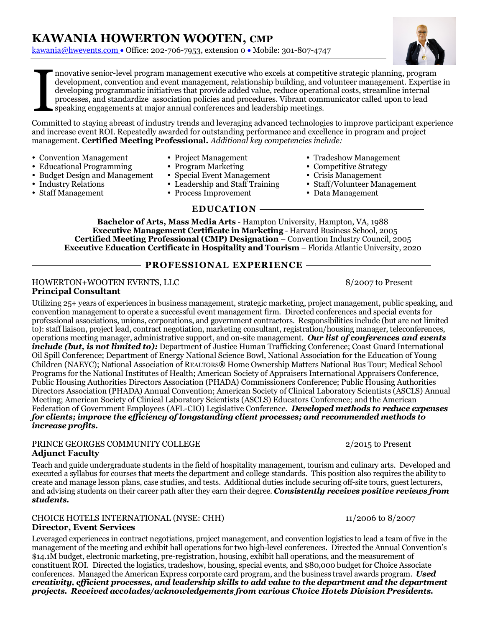kawania@hwevents.com • Office: 202-706-7953, extension 0 • Mobile: 301-807-4747



nnovative senior-level program management executive who excels at competitive strategic planning, program development, convention and event management, relationship building, and volunteer management. Expertise in developing programmatic initiatives that provide added value, reduce operational costs, streamline internal processes, and standardize association policies and procedures. Vibrant communicator called upon to lead speaking engagements at major annual conferences and leadership meetings. I

Committed to staying abreast of industry trends and leveraging advanced technologies to improve participant experience and increase event ROI. Repeatedly awarded for outstanding performance and excellence in program and project management. **Certified Meeting Professional.** *Additional key competencies include:*

Convention Management Project Management Tradeshow Management

 $\bullet$  Budget Design and Management

- 
- Educational Programming Program Marketing Competitive Strategy
	-
	-
- Staff Management Process Improvement Data Management

### **EDUCATION**

**Bachelor of Arts, Mass Media Arts** - Hampton University, Hampton, VA, 1988 **Executive Management Certificate in Marketing** - Harvard Business School, 2005 **Certified Meeting Professional (CMP) Designation** – Convention Industry Council, 2005 **Executive Education Certificate in Hospitality and Tourism** – Florida Atlantic University, 2020

### **PROFESSIONAL EXPERIENCE**

#### HOWERTON+WOOTEN EVENTS, LLC 8/2007 to Present **Principal Consultant**

Utilizing 25+ years of experiences in business management, strategic marketing, project management, public speaking, and convention management to operate a successful event management firm. Directed conferences and special events for professional associations, unions, corporations, and government contractors. Responsibilities include (but are not limited to): staff liaison, project lead, contract negotiation, marketing consultant, registration/housing manager, teleconferences, operations meeting manager, administrative support, and on-site management. *Our list of conferences and events include (but, is not limited to):* Department of Justice Human Trafficking Conference; Coast Guard International Oil Spill Conference; Department of Energy National Science Bowl, National Association for the Education of Young Children (NAEYC); National Association of REALTORS**®** Home Ownership Matters National Bus Tour; Medical School Programs for the National Institutes of Health; American Society of Appraisers International Appraisers Conference, Public Housing Authorities Directors Association (PHADA) Commissioners Conference; Public Housing Authorities Directors Association (PHADA) Annual Convention; American Society of Clinical Laboratory Scientists (ASCLS) Annual Meeting; American Society of Clinical Laboratory Scientists (ASCLS) Educators Conference; and the American Federation of Government Employees (AFL-CIO) Legislative Conference. *Developed methods to reduce expenses for clients; improve the efficiency of longstanding client processes; and recommended methods to increase profits.*

## PRINCE GEORGES COMMUNITY COLLEGE 2/2015 to Present

## **Adjunct Faculty**

Teach and guide undergraduate students in the field of hospitality management, tourism and culinary arts. Developed and executed a syllabus for courses that meets the department and college standards. This position also requires the ability to create and manage lesson plans, case studies, and tests. Additional duties include securing off-site tours, guest lecturers, and advising students on their career path after they earn their degree. *Consistently receives positive reviews from students.*

#### CHOICE HOTELS INTERNATIONAL (NYSE: CHH) 11/2006 to 8/2007 **Director, Event Services**

Leveraged experiences in contract negotiations, project management, and convention logistics to lead a team of five in the management of the meeting and exhibit hall operations for two high-level conferences. Directed the Annual Convention's \$14.1M budget, electronic marketing, pre-registration, housing, exhibit hall operations, and the measurement of constituent ROI. Directed the logistics, tradeshow, housing, special events, and \$80,000 budget for Choice Associate conferences. Managed the American Express corporate card program, and the business travel awards program. *Used creativity, efficient processes, and leadership skills to add value to the department and the department projects. Received accolades/acknowledgements from various Choice Hotels Division Presidents.*

- 
- 
- 
- Industry Relations Leadership and Staff Training Staff/Volunteer Management
	-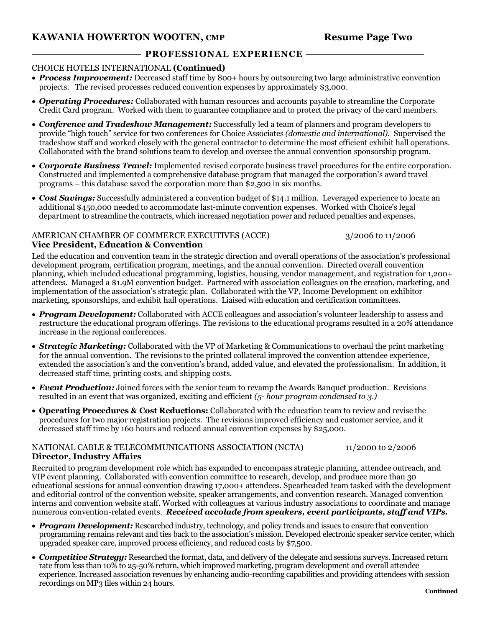## **KAWANIA HOWERTON WOOTEN, CMP Resume Page Two**

## **PROFESSIONAL EXPERIENCE**

### CHOICE HOTELS INTERNATIONAL **(Continued)**

- *Process Improvement:* Decreased staff time by 800+ hours by outsourcing two large administrative convention projects. The revised processes reduced convention expenses by approximately \$3,000.
- *Operating Procedures:* Collaborated with human resources and accounts payable to streamline the Corporate Credit Card program. Worked with them to guarantee compliance and to protect the privacy of the card members.
- *Conference and Tradeshow Management:* Successfully led a team of planners and program developers to provide "high touch" service for two conferences for Choice Associates *(domestic and international).* Supervised the tradeshow staff and worked closely with the general contractor to determine the most efficient exhibit hall operations. Collaborated with the brand solutions team to develop and oversee the annual convention sponsorship program.
- *Corporate Business Travel:* Implemented revised corporate business travel procedures for the entire corporation. Constructed and implemented a comprehensive database program that managed the corporation's award travel programs – this database saved the corporation more than \$2,500 in six months.
- *Cost Savings:* Successfully administered a convention budget of \$14.1 million. Leveraged experience to locate an additional \$450,000 needed to accommodate last-minute convention expenses. Worked with Choice's legal department to streamline the contracts, which increased negotiation power and reduced penalties and expenses.

#### AMERICAN CHAMBER OF COMMERCE EXECUTIVES (ACCE) 3/2006 to 11/2006 **Vice President, Education & Convention**

Led the education and convention team in the strategic direction and overall operations of the association's professional development program, certification program, meetings, and the annual convention. Directed overall convention planning, which included educational programming, logistics, housing, vendor management, and registration for 1,200+ attendees. Managed a \$1.9M convention budget. Partnered with association colleagues on the creation, marketing, and implementation of the association's strategic plan. Collaborated with the VP, Income Development on exhibitor marketing, sponsorships, and exhibit hall operations. Liaised with education and certification committees.

- *Program Development:* Collaborated with ACCE colleagues and association's volunteer leadership to assess and restructure the educational program offerings. The revisions to the educational programs resulted in a 20% attendance increase in the regional conferences.
- *Strategic Marketing:* Collaborated with the VP of Marketing & Communications to overhaul the print marketing for the annual convention. The revisions to the printed collateral improved the convention attendee experience, extended the association's and the convention's brand, added value, and elevated the professionalism. In addition, it decreased staff time, printing costs, and shipping costs.
- *Event Production:* Joined forces with the senior team to revamp the Awards Banquet production. Revisions resulted in an event that was organized, exciting and efficient *(5- hour program condensed to 3.)*
- **Operating Procedures & Cost Reductions:** Collaborated with the education team to review and revise the procedures for two major registration projects. The revisions improved efficiency and customer service, and it decreased staff time by 160 hours and reduced annual convention expenses by \$25,000.

### NATIONAL CABLE & TELECOMMUNICATIONS ASSOCIATION (NCTA) 11/2000 to 2/2006 **Director, Industry Affairs**

Recruited to program development role which has expanded to encompass strategic planning, attendee outreach, and VIP event planning. Collaborated with convention committee to research, develop, and produce more than 30 educational sessions for annual convention drawing 17,000+ attendees. Spearheaded team tasked with the development and editorial control of the convention website, speaker arrangements, and convention research. Managed convention interns and convention website staff. Worked with colleagues at various industry associations to coordinate and manage numerous convention-related events. *Received accolade from speakers, event participants, staff and VIPs.* 

- *Program Development:* Researched industry, technology, and policy trends and issues to ensure that convention programming remains relevant and ties back to the association's mission. Developed electronic speaker service center, which upgraded speaker care, improved process efficiency, and reduced costs by \$7,500.
- *Competitive Strategy:* Researched the format, data, and delivery of the delegate and sessions surveys. Increased return rate from less than 10% to 25-50% return, which improved marketing, program development and overall attendee experience. Increased association revenues by enhancing audio-recording capabilities and providing attendees with session recordings on MP3 files within 24 hours.